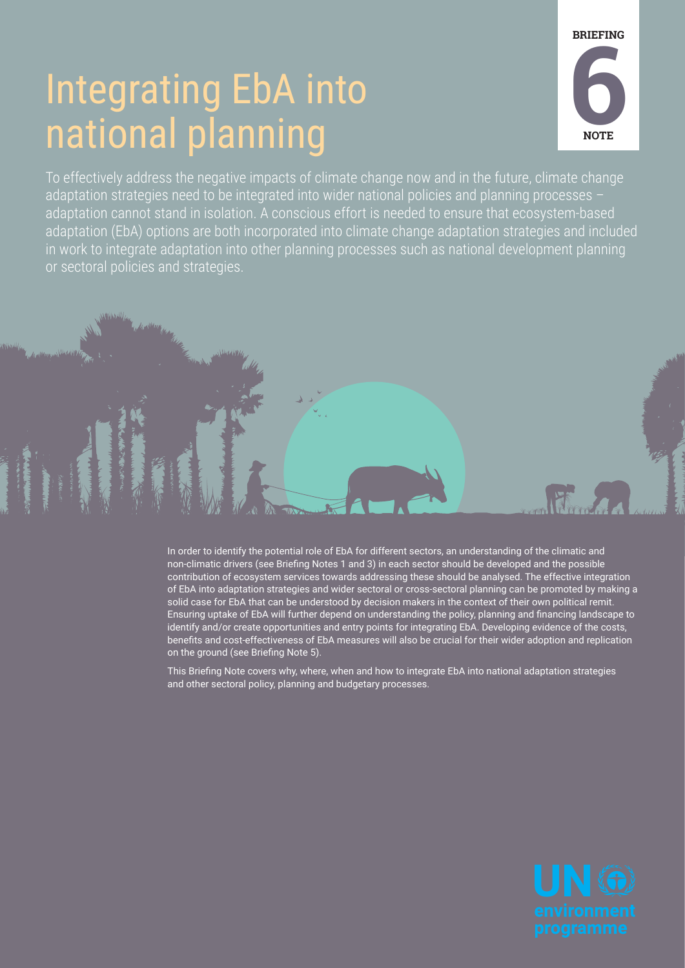## Integrating EbA into national planning



To effectively address the negative impacts of climate change now and in the future, climate change adaptation strategies need to be integrated into wider national policies and planning processes – adaptation cannot stand in isolation. A conscious effort is needed to ensure that ecosystem-based adaptation (EbA) options are both incorporated into climate change adaptation strategies and included in work to integrate adaptation into other planning processes such as national development planning or sectoral policies and strategies.

> In order to identify the potential role of EbA for different sectors, an understanding of the climatic and non-climatic drivers (see Briefing Notes 1 and 3) in each sector should be developed and the possible contribution of ecosystem services towards addressing these should be analysed. The effective integration of EbA into adaptation strategies and wider sectoral or cross-sectoral planning can be promoted by making a solid case for EbA that can be understood by decision makers in the context of their own political remit. Ensuring uptake of EbA will further depend on understanding the policy, planning and financing landscape to identify and/or create opportunities and entry points for integrating EbA. Developing evidence of the costs, benefits and cost-effectiveness of EbA measures will also be crucial for their wider adoption and replication on the ground (see Briefing Note 5).

This Briefing Note covers why, where, when and how to integrate EbA into national adaptation strategies and other sectoral policy, planning and budgetary processes.



Home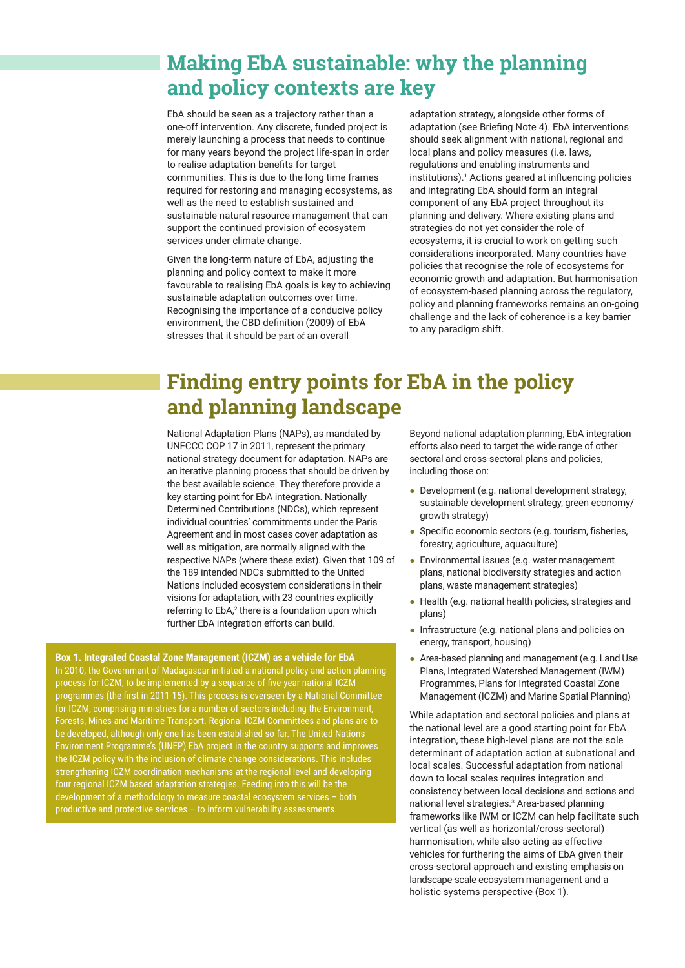## **Making EbA sustainable: why the planning and policy contexts are key**

EbA should be seen as a trajectory rather than a one-off intervention. Any discrete, funded project is merely launching a process that needs to continue for many years beyond the project life-span in order to realise adaptation benefits for target communities. This is due to the long time frames required for restoring and managing ecosystems, as well as the need to establish sustained and sustainable natural resource management that can support the continued provision of ecosystem services under climate change.

Given the long-term nature of EbA, adjusting the planning and policy context to make it more favourable to realising EbA goals is key to achieving sustainable adaptation outcomes over time. Recognising the importance of a conducive policy environment, the CBD definition (2009) of EbA stresses that it should be part of an overall

adaptation strategy, alongside other forms of adaptation (see Briefing Note 4). EbA interventions should seek alignment with national, regional and local plans and policy measures (i.e. laws, regulations and enabling instruments and institutions).1 Actions geared at influencing policies and integrating EbA should form an integral component of any EbA project throughout its planning and delivery. Where existing plans and strategies do not yet consider the role of ecosystems, it is crucial to work on getting such considerations incorporated. Many countries have policies that recognise the role of ecosystems for economic growth and adaptation. But harmonisation of ecosystem-based planning across the regulatory, policy and planning frameworks remains an on-going challenge and the lack of coherence is a key barrier to any paradigm shift.

## **Finding entry points for EbA in the policy and planning landscape**

National Adaptation Plans (NAPs), as mandated by UNFCCC COP 17 in 2011, represent the primary national strategy document for adaptation. NAPs are an iterative planning process that should be driven by the best available science. They therefore provide a key starting point for EbA integration. Nationally Determined Contributions (NDCs), which represent individual countries' commitments under the Paris Agreement and in most cases cover adaptation as well as mitigation, are normally aligned with the respective NAPs (where these exist). Given that 109 of the 189 intended NDCs submitted to the United Nations included ecosystem considerations in their visions for adaptation, with 23 countries explicitly referring to EbA,<sup>2</sup> there is a foundation upon which further EbA integration efforts can build.

**Box 1. Integrated Coastal Zone Management (ICZM) as a vehicle for EbA** In 2010, the Government of Madagascar initiated a national policy and action planning process for ICZM, to be implemented by a sequence of five-year national ICZM programmes (the first in 2011-15). This process is overseen by a National Committee for ICZM, comprising ministries for a number of sectors including the Environment, Forests, Mines and Maritime Transport. Regional ICZM Committees and plans are to be developed, although only one has been established so far. The United Nations Environment Programme's (UNEP) EbA project in the country supports and improves the ICZM policy with the inclusion of climate change considerations. This includes strengthening ICZM coordination mechanisms at the regional level and developing four regional ICZM based adaptation strategies. Feeding into this will be the development of a methodology to measure coastal ecosystem services – both productive and protective services – to inform vulnerability assessments.

Beyond national adaptation planning, EbA integration efforts also need to target the wide range of other sectoral and cross-sectoral plans and policies, including those on:

- Development (e.g. national development strategy, sustainable development strategy, green economy/ growth strategy)
- Specific economic sectors (e.g. tourism, fisheries, forestry, agriculture, aquaculture)
- Environmental issues (e.g. water management plans, national biodiversity strategies and action plans, waste management strategies)
- Health (e.g. national health policies, strategies and plans)
- Infrastructure (e.g. national plans and policies on energy, transport, housing)
- Area-based planning and management (e.g. Land Use Plans, Integrated Watershed Management (IWM) Programmes, Plans for Integrated Coastal Zone Management (ICZM) and Marine Spatial Planning)

While adaptation and sectoral policies and plans at the national level are a good starting point for EbA integration, these high-level plans are not the sole determinant of adaptation action at subnational and local scales. Successful adaptation from national down to local scales requires integration and consistency between local decisions and actions and national level strategies.<sup>3</sup> Area-based planning frameworks like IWM or ICZM can help facilitate such vertical (as well as horizontal/cross-sectoral) harmonisation, while also acting as effective vehicles for furthering the aims of EbA given their cross-sectoral approach and existing emphasis on landscape-scale ecosystem management and a holistic systems perspective (Box 1).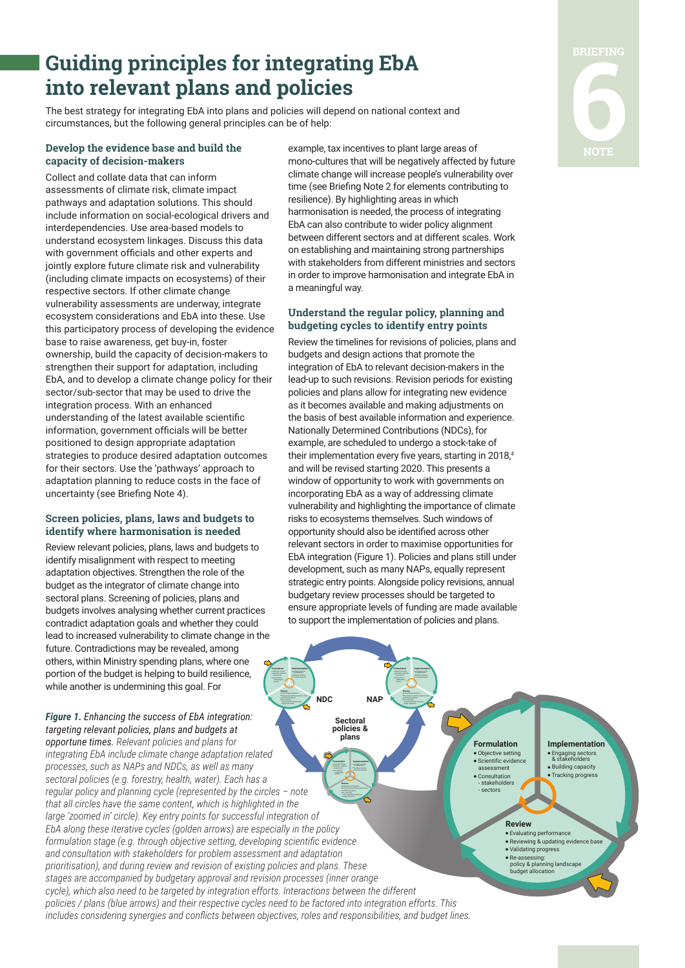## **Guiding principles for integrating EbA into relevant plans and policies**

The best strategy for integrating EbA into plans and policies will depend on national context and circumstances, but the following general principles can be of help:

#### **Develop the evidence base and build the capacity of decision-makers**

Collect and collate data that can inform assessments of climate risk, climate impact pathways and adaptation solutions. This should include information on social-ecological drivers and interdependencies. Use area-based models to understand ecosystem linkages. Discuss this data with government officials and other experts and jointly explore future climate risk and vulnerability (including climate impacts on ecosystems) of their respective sectors. If other climate change vulnerability assessments are underway, integrate ecosystem considerations and EbA into these. Use this participatory process of developing the evidence base to raise awareness, get buy-in, foster ownership, build the capacity of decision-makers to strengthen their support for adaptation, including EbA, and to develop a climate change policy for their sector/sub-sector that may be used to drive the integration process. With an enhanced understanding of the latest available scientific information, government officials will be better positioned to design appropriate adaptation strategies to produce desired adaptation outcomes for their sectors. Use the 'pathways' approach to adaptation planning to reduce costs in the face of uncertainty (see Briefing Note 4).

#### **Screen policies, plans, laws and budgets to identify where harmonisation is needed**

Review relevant policies, plans, laws and budgets to identify misalignment with respect to meeting adaptation objectives. Strengthen the role of the budget as the integrator of climate change into sectoral plans. Screening of policies, plans and budgets involves analysing whether current practices contradict adaptation goals and whether they could lead to increased vulnerability to climate change in the future. Contradictions may be revealed, among others, within Ministry spending plans, where one portion of the budget is helping to build resilience, while another is undermining this goal. For

#### *Figure 1. Enhancing the success of EbA integration: targeting relevant policies, plans and budgets at*

**plans**  - stakeholders **Review** policy & planning landscape budget allocation *opportune times. Relevant policies and plans for integrating EbA include climate change adaptation related processes, such as NAPs and NDCs, as well as many sectoral policies (e.g. forestry, health, water). Each has a regular policy and planning cycle (represented by the circles – note that all circles have the same content, which is highlighted in the large 'zoomed in' circle). Key entry points for successful integration of EbA along these iterative cycles (golden arrows) are especially in the policy formulation stage (e.g. through objective setting, developing scientific evidence and consultation with stakeholders for problem assessment and adaptation prioritisation), and during review and revision of existing policies and plans. These stages are accompanied by budgetary approval and revision processes (inner orange cycle), which also need to be targeted by integration efforts. Interactions between the different policies / plans (blue arrows) and their respective cycles need to be factored into integration efforts. This includes considering synergies and conflicts between objectives, roles and responsibilities, and budget lines.*

example, tax incentives to plant large areas of mono-cultures that will be negatively affected by future climate change will increase people's vulnerability over time (see Briefing Note 2 for elements contributing to resilience). By highlighting areas in which harmonisation is needed, the process of integrating EbA can also contribute to wider policy alignment between different sectors and at different scales. Work on establishing and maintaining strong partnerships with stakeholders from different ministries and sectors in order to improve harmonisation and integrate EbA in a meaningful way.

#### **Understand the regular policy, planning and budgeting cycles to identify entry points**

Review the timelines for revisions of policies, plans and budgets and design actions that promote the integration of EbA to relevant decision-makers in the lead-up to such revisions. Revision periods for existing policies and plans allow for integrating new evidence as it becomes available and making adjustments on the basis of best available information and experience. Nationally Determined Contributions (NDCs), for example, are scheduled to undergo a stock-take of their implementation every five years, starting in 2018,4 and will be revised starting 2020. This presents a window of opportunity to work with governments on incorporating EbA as a way of addressing climate vulnerability and highlighting the importance of climate risks to ecosystems themselves. Such windows of opportunity should also be identified across other relevant sectors in order to maximise opportunities for EbA integration (Figure 1). Policies and plans still under development, such as many NAPs, equally represent strategic entry points. Alongside policy revisions, annual budgetary review processes should be targeted to ensure appropriate levels of funding are made available to support the implementation of policies and plans.

**NAP**

**Formulation Implementation** & stakeholders **Review** policy & planning landscape budget allocation

**Sectoral policies &** 

**NDC**

**Formulation Implementation** & stakeholders

budget allocation

**Formulation** ● Objective setting Scientific evid assessment ● Consultation - stakeholders - sectors

> **Review** ● Evaluating performance • Reviewing & updating evidence ba ● Validating progress ● Re-assessing: policy & planning landscape budget allocation

**Implementation** ● Engaging sectors & stakeholders ● Building capacity ● Tracking progress

# **BRIEFING 6**